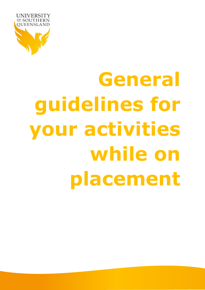

# **General guidelines for your activities while on placement**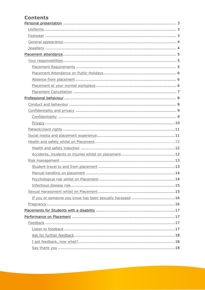#### **Contents**

| If you or someone you know has been sexually harassed 16 |
|----------------------------------------------------------|
|                                                          |
|                                                          |
|                                                          |
|                                                          |
|                                                          |
|                                                          |
|                                                          |
|                                                          |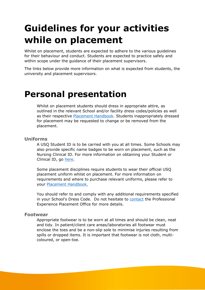## **Guidelines for your activities while on placement**

Whilst on placement, students are expected to adhere to the various guidelines for their behaviour and conduct. Students are expected to practice safely and within scope under the guidance of their placement supervisors.

The links below provide more information on what is expected from students, the university and placement supervisors.

### <span id="page-2-0"></span>**Personal presentation**

Whilst on placement students should dress in appropriate attire, as outlined in the relevant School and/or facility dress codes/policies as well as their respective [Placement Handbook.](https://www.usq.edu.au/current-students/assessment/health-placements/resources-and-forms) Students inappropriately dressed for placement may be requested to change or be removed from the placement.

#### <span id="page-2-1"></span>**Uniforms**

A USQ Student ID is to be carried with you at all times. Some Schools may also provide specific name badges to be worn on placement, such as the Nursing Clinical ID. For more information on obtaining your Student or Clinical ID, go [here.](https://www.usq.edu.au/current-students/new-to-usq/getting-started/student-id-cards)

Some placement disciplines require students to wear their official USQ placement uniform whilst on placement. For more information on requirements and where to purchase relevant uniforms, please refer to your [Placement Handbook.](https://www.usq.edu.au/current-students/assessment/health-placements/resources-and-forms)

You should refer to and comply with any additional requirements specified in your School's Dress Code. Do not hesitate to [contact](https://www.usq.edu.au/current-students/assessment/health-placements/contact-us) the Professional Experience Placement Office for more details.

#### <span id="page-2-2"></span>**Footwear**

Appropriate footwear is to be worn at all times and should be clean, neat and tidy. In patient/client care areas/laboratories all footwear must enclose the toes and be a non-slip sole to minimise injuries resulting from spills or dropped items. It is important that footwear is not cloth, multicoloured, or open-toe.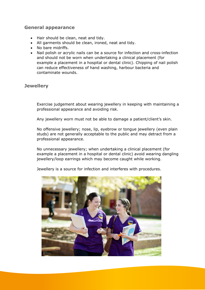#### <span id="page-3-0"></span>**General appearance**

- Hair should be clean, neat and tidy.
- All garments should be clean, ironed, neat and tidy.
- No bare midriffs.
- Nail polish or acrylic nails can be a source for infection and cross-infection and should not be worn when undertaking a clinical placement (for example a placement in a hospital or dental clinic). Chipping of nail polish can reduce effectiveness of hand washing, harbour bacteria and contaminate wounds.

<span id="page-3-1"></span>**Jewellery**

Exercise judgement about wearing jewellery in keeping with maintaining a professional appearance and avoiding risk.

Any jewellery worn must not be able to damage a patient/client's skin.

No offensive jewellery; nose, lip, eyebrow or tongue jewellery (even plain studs) are not generally acceptable to the public and may detract from a professional appearance.

No unnecessary jewellery; when undertaking a clinical placement (for example a placement in a hospital or dental clinic) avoid wearing dangling jewellery/loop earrings which may become caught while working.

Jewellery is a source for infection and interferes with procedures.

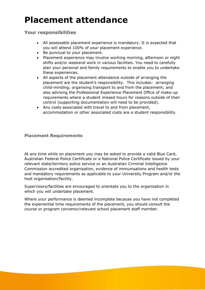## <span id="page-4-0"></span>**Placement attendance**

#### <span id="page-4-1"></span>**Your responsibilities**

- All assessable placement experience is mandatory. It is expected that you will attend 100% of your placement experience.
- Be punctual to your placement.
- Placement experience may involve working morning, afternoon or night shifts and/or weekend work in various facilities. You need to carefully plan your personal and family requirements to enable you to undertake these experiences.
- All aspects of the placement attendance outside of arranging the placement are the student's responsibility. This includes: arranging child-minding; organising transport to and from the placement; and also advising the Professional Experience Placement Office of make-up requirements where a student missed hours for reasons outside of their control (supporting documentation will need to be provided).
- Any costs associated with travel to and from placement, accommodation or other associated costs are a student responsibility.

#### <span id="page-4-2"></span>**Placement Requirements**

At any time while on placement you may be asked to provide a valid Blue Card, Australian Federal Police Certificate or a National Police Certificate issued by your relevant state/territory police service or an Australian Criminal Intelligence Commission accredited organisation, evidence of immunisations and health tests and mandatory requirements as applicable to your University Program and/or the host organisation/facility.

Supervisors/facilities are encouraged to orientate you to the organisation in which you will undertake placement.

Where your performance is deemed incomplete because you have not completed the experiential time requirements of the placement, you should consult the course or program convenor/relevant school placement staff member.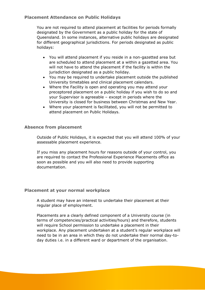#### <span id="page-5-0"></span>**Placement Attendance on Public Holidays**

You are not required to attend placement at facilities for periods formally designated by the Government as a public holiday for the state of Queensland. In some instances, alternative public holidays are designated for different geographical jurisdictions. For periods designated as public holidays:

- You will attend placement if you reside in a non-gazetted area but are scheduled to attend placement at a within a gazetted area. You will not have to attend the placement if the facility is within the jurisdiction designated as a public holiday.
- You may be required to undertake placement outside the published University timetables and clinical placement calendars.
- Where the Facility is open and operating you may attend your preceptored placement on a public holiday if you wish to do so and your Supervisor is agreeable – except in periods where the University is closed for business between Christmas and New Year.
- Where your placement is facilitated, you will not be permitted to attend placement on Public Holidays.

#### <span id="page-5-1"></span>**Absence from placement**

Outside of Public Holidays, it is expected that you will attend 100% of your assessable placement experience.

If you miss any placement hours for reasons outside of your control, you are required to contact the Professional Experience Placements office as soon as possible and you will also need to provide supporting documentation.

#### <span id="page-5-2"></span>**Placement at your normal workplace**

A student may have an interest to undertake their placement at their regular place of employment.

Placements are a clearly defined component of a University course (in terms of competencies/practical activities/hours) and therefore, students will require School permission to undertake a placement in their workplace. Any placement undertaken at a student's regular workplace will need to be in an area in which they do not undertake their normal day-today duties i.e. in a different ward or department of the organisation.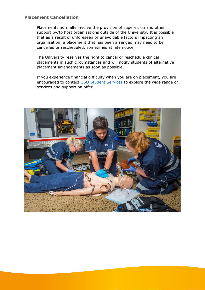#### <span id="page-6-0"></span>**Placement Cancellation**

Placements normally involve the provision of supervision and other support by/to host organisations outside of the University. It is possible that as a result of unforeseen or unavoidable factors impacting an organisation, a placement that has been arranged may need to be cancelled or rescheduled, sometimes at late notice.

The University reserves the right to cancel or reschedule clinical placements in such circumstances and will notify students of alternative placement arrangements as soon as possible.

If you experience financial difficulty when you are on placement, you are encouraged to contact [USQ Student Services](https://www.usq.edu.au/current-students/services) to explore the wide range of services and support on offer.

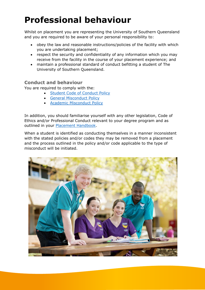## <span id="page-7-0"></span>**Professional behaviour**

Whilst on placement you are representing the University of Southern Queensland and you are required to be aware of your personal responsibility to:

- obey the law and reasonable instructions/policies of the facility with which you are undertaking placement;
- respect the security and confidentiality of any information which you may receive from the facility in the course of your placement experience; and
- maintain a professional standard of conduct befitting a student of The University of Southern Queensland.

#### <span id="page-7-1"></span>**Conduct and behaviour**

You are required to comply with the:

- [Student Code of Conduct Policy](http://policy.usq.edu.au/documents/142753PL)
- [General Misconduct Policy](http://policy.usq.edu.au/documents/151867PL)
- [Academic Misconduct Policy](http://policy.usq.edu.au/documents/14132PL)

In addition, you should familiarise yourself with any other legislation, Code of Ethics and/or Professional Conduct relevant to your degree program and as outlined in your [Placement Handbook.](https://www.usq.edu.au/current-students/assessment/health-placements/resources-and-forms)

When a student is identified as conducting themselves in a manner inconsistent with the stated policies and/or codes they may be removed from a placement and the process outlined in the policy and/or code applicable to the type of misconduct will be initiated.

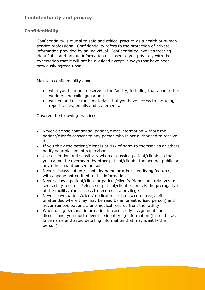#### <span id="page-8-1"></span><span id="page-8-0"></span>**Confidentiality**

Confidentiality is crucial to safe and ethical practice as a health or human service professional. Confidentiality refers to the protection of private information provided by an individual. Confidentiality involves treating identifiable and private information disclosed to you privately with the expectation that it will not be divulged except in ways that have been previously agreed upon.

Maintain confidentiality about:

- what you hear and observe in the facility, including that about other workers and colleagues; and
- written and electronic materials that you have access to including reports, files, emails and statements.

Observe the following practices:

- Never disclose confidential patient/client information without the patient/client's consent to any person who is not authorised to receive it
- If you think the patient/client is at risk of harm to themselves or others notify your placement supervisor
- Use discretion and sensitivity when discussing patient/clients so that you cannot be overheard by other patient/clients, the general public or any other unauthorised person
- Never discuss patient/clients by name or other identifying features, with anyone not entitled to this information
- Never allow a patient/client or patient/client's friends and relatives to see facility records. Release of patient/client records is the prerogative of the facility. Your access to records is a privilege
- Never leave patient/client/medical records unsecured (e.g. left unattended where they may be read by an unauthorised person) and never remove patient/client/medical records from the facility
- When using personal information in case study assignments or discussions, you must never use identifying information (instead use a false name and avoid detailing information that may identify the person)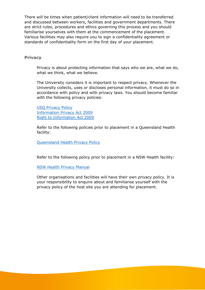There will be times when patient/client information will need to be transferred and discussed between workers, facilities and government departments. There are strict rules, procedures and ethics governing this process and you should familiarise yourselves with them at the commencement of the placement. Various facilities may also require you to sign a confidentiality agreement or standards of confidentiality form on the first day of your placement.

#### <span id="page-9-0"></span>**Privacy**

Privacy is about protecting information that says who we are, what we do, what we think, what we believe.

The University considers it is important to respect privacy. Whenever the University collects, uses or discloses personal information, it must do so in accordance with policy and with privacy laws. You should become familiar with the following privacy policies:

USQ [Privacy Policy](http://policy.usq.edu.au/documents/13404PL) [Information Privacy Act 2009](https://www.legislation.qld.gov.au/view/html/inforce/2017-06-05/act-2009-014) [Right to Information Act 2009](https://www.legislation.qld.gov.au/view/html/inforce/current/act-2009-013)

Refer to the following policies prior to placement in a Queensland Health facility:

[Queensland Health Privacy Policy](https://www.health.qld.gov.au/global/privacy)

Refer to the following policy prior to placement in a NSW Health facility:

[NSW Health Privacy Manual](http://www.health.nsw.gov.au/policies/manuals/Pages/privacy-manual-for-health-information.aspx)

Other organisations and facilities will have their own privacy policy. It is your responsibility to enquire about and familiarise yourself with the privacy policy of the host site you are attending for placement.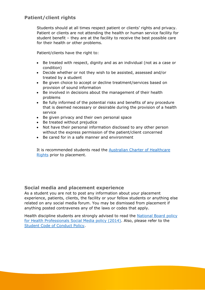#### <span id="page-10-0"></span>**Patient/client rights**

Students should at all times respect patient or clients' rights and privacy. Patient or clients are not attending the health or human service facility for student benefit – they are at the facility to receive the best possible care for their health or other problems.

Patient/clients have the right to:

- Be treated with respect, dignity and as an individual (not as a case or condition)
- Decide whether or not they wish to be assisted, assessed and/or treated by a student
- Be given choice to accept or decline treatment/services based on provision of sound information
- Be involved in decisions about the management of their health problems
- Be fully informed of the potential risks and benefits of any procedure that is deemed necessary or desirable during the provision of a health service
- Be given privacy and their own personal space
- Be treated without prejudice
- Not have their personal information disclosed to any other person without the express permission of the patient/client concerned
- Be cared for in a safe manner and environment

It is recommended students read the [Australian Charter of Healthcare](https://www.health.qld.gov.au/clinical-practice/asides/australian-charter-of-healthcare-rights2)  [Rights](https://www.health.qld.gov.au/clinical-practice/asides/australian-charter-of-healthcare-rights2) prior to placement.

#### <span id="page-10-1"></span>**Social media and placement experience**

As a student you are not to post any information about your placement experience, patients, clients, the facility or your fellow students or anything else related on any social media forum. You may be dismissed from placement if anything posted contravenes any of the laws or codes that apply.

Health discipline students are strongly advised to read the National Board policy [for Health Professionals Social Media policy \(2014\).](http://www.medicalboard.gov.au/Codes-Guidelines-Policies/Social-media-policy.aspx) Also, please refer to the Student Code [of Conduct Policy.](http://policy.usq.edu.au/documents/142753PL)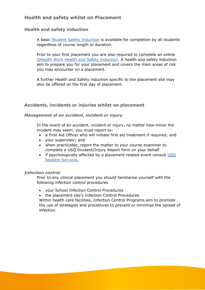#### <span id="page-11-0"></span>**Health and safety whilst on Placement**

#### <span id="page-11-1"></span>**Health and safety induction**

A basic [Student Safety Induction](https://www.usq.edu.au/hr/healthsafe/resources/safeindtrain) is available for completion by all students regardless of course length or duration.

Prior to your first placement you are also required to complete an online [QHealth Work Health and Safety Induction.](https://www.usq.edu.au/current-students/assessment/health-placements/resources-and-forms) A health and safety induction aim to prepare you for your placement and covers the main areas of risk you may encounter on a placement.

A further Health and Safety induction specific to the placement site may also be offered on the first day of placement.

#### <span id="page-11-2"></span>**Accidents, incidents or injuries whilst on placement**

#### *Management of an accident, incident or injury*

In the event of an accident, incident or injury, no matter how minor the incident may seem, you must report to:

- a First Aid Officer who will initiate first aid treatment if required; and
- your supervisor; and
- when practicable, report the matter to your course examiner to complete a USQ Incident/Injury Report form on your behalf.
- if psychologically affected by a placement related event consult [USQ](https://www.usq.edu.au/current-students/services)  [Student Services.](https://www.usq.edu.au/current-students/services)

#### *Infection control*

Prior to any clinical placement you should familiarise yourself with the following infection control procedures

- your School Infection Control Procedures
- the placement site's Infection Control Procedures.

Within health care facilities, Infection Control Programs aim to promote the use of strategies and procedures to prevent or minimise the spread of infection.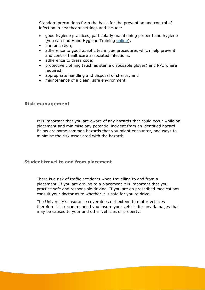Standard precautions form the basis for the prevention and control of infection in healthcare settings and include:

- good hygiene practices, particularly maintaining proper hand hygiene (you can find Hand Hygiene Training [online\)](https://hha.southrock.com/cgi-bin-secure/Home.cgi?msecs=1500509003626);
- immunisation;
- adherence to good aseptic technique procedures which help prevent and control healthcare associated infections.
- adherence to dress code;
- protective clothing (such as sterile disposable gloves) and PPE where required;
- appropriate handling and disposal of sharps; and
- maintenance of a clean, safe environment.

#### <span id="page-12-0"></span>**Risk management**

It is important that you are aware of any hazards that could occur while on placement and minimise any potential incident from an identified hazard. Below are some common hazards that you might encounter, and ways to minimise the risk associated with the hazard:

#### <span id="page-12-1"></span>**Student travel to and from placement**

There is a risk of traffic accidents when travelling to and from a placement. If you are driving to a placement it is important that you practice safe and responsible driving. If you are on prescribed medications consult your doctor as to whether it is safe for you to drive.

The University's insurance cover does not extend to motor vehicles therefore it is recommended you insure your vehicle for any damages that may be caused to your and other vehicles or property.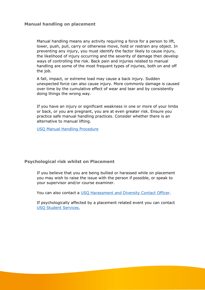#### <span id="page-13-0"></span>**Manual handling on placement**

Manual handling means any activity requiring a force for a person to lift, lower, push, pull, carry or otherwise move, hold or restrain any object. In preventing any injury, you must identify the factor likely to cause injury, the likelihood of injury occurring and the severity of damage then develop ways of controlling the risk. Back pain and injuries related to manual handling are some of the most frequent types of injuries, both on and off the job.

A fall, impact, or extreme load may cause a back injury. Sudden unexpected force can also cause injury. More commonly damage is caused over time by the cumulative effect of wear and tear and by consistently doing things the wrong way.

If you have an injury or significant weakness in one or more of your limbs or back, or you are pregnant, you are at even greater risk. Ensure you practice safe manual handling practices. Consider whether there is an alternative to manual lifting.

[USQ Manual Handling Procedure](http://policy.usq.edu.au/documents/13362PL)

#### <span id="page-13-1"></span>**Psychological risk whilst on Placement**

If you believe that you are being bullied or harassed while on placement you may wish to raise the issue with the person if possible, or speak to your supervisor and/or course examiner.

You can also contact a [USQ Harassment and Diversity Contact Officer.](https://www.usq.edu.au/hr/equitydiversity/workplaceharassment/hdco)

If psychologically affected by a placement related event you can contact [USQ Student Services.](https://www.usq.edu.au/current-students/services)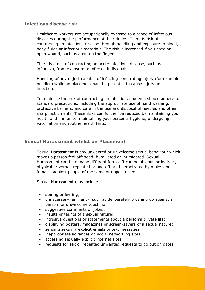#### <span id="page-14-0"></span>**Infectious disease risk**

Healthcare workers are occupationally exposed to a range of infectious diseases during the performance of their duties. There is risk of contracting an infectious disease through handling and exposure to blood, body fluids or infectious materials. The risk is increased if you have an open wound, such as a cut on the finger.

There is a risk of contracting an acute infectious disease, such as influenza, from exposure to infected individuals.

Handling of any object capable of inflicting penetrating injury (for example needles) while on placement has the potential to cause injury and infection.

To minimize the risk of contracting an infection, students should adhere to standard precautions, including the appropriate use of hand washing, protective barriers, and care in the use and disposal of needles and other sharp instruments. These risks can further be reduced by maintaining your health and immunity, maintaining your personal hygiene, undergoing vaccination and routine health tests.

#### <span id="page-14-1"></span>**Sexual Harassment whilst on Placement**

Sexual Harassment is any unwanted or unwelcome sexual behaviour which makes a person feel offended, humiliated or intimidated. Sexual Harassment can take many different forms. It can be obvious or indirect, physical or verbal, repeated or one-off, and perpetrated by males and females against people of the same or opposite sex.

Sexual Harassment may include:

- **•** staring or leering;
- unnecessary familiarity, such as deliberately brushing up against a person, or unwelcome touching;
- suggestive comments or jokes;
- **·** insults or taunts of a sexual nature;
- **·** intrusive questions or statements about a person's private life;
- displaying posters, magazines or screen-savers of a sexual nature;
- **EXECUTE:** sending sexually explicit emails or text messages;
- **•** inappropriate advances on social networking sites;
- accessing sexually explicit internet sites;
- requests for sex or repeated unwanted requests to go out on dates;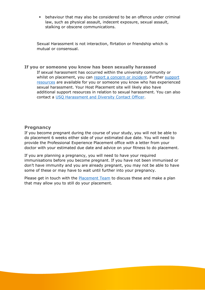behaviour that may also be considered to be an offence under criminal law, such as physical assault, indecent exposure, sexual assault, stalking or obscene communications.

Sexual Harassment is not interaction, flirtation or friendship which is mutual or consensual.

#### <span id="page-15-0"></span>**If you or someone you know has been sexually harassed**

If sexual harassment has occurred within the university community or whilst on placement, you can [report a concern or incident.](https://www.usq.edu.au/about-usq/values-and-culture/respect-now-always/report-incident) Further [support](https://www.usq.edu.au/about-usq/values-and-culture/respect-now-always/sexual-harassment/what-you-can-do)  [resources](https://www.usq.edu.au/about-usq/values-and-culture/respect-now-always/sexual-harassment/what-you-can-do) are available for you or someone you know who has experienced sexual harassment. Your Host Placement site will likely also have additional support resources in relation to sexual harassment. You can also contact a [USQ Harassment and Diversity Contact Officer.](https://www.usq.edu.au/hr/equitydiversity/workplaceharassment/hdco)

#### <span id="page-15-1"></span>**Pregnancy**

If you become pregnant during the course of your study, you will not be able to do placement 6 weeks either side of your estimated due date. You will need to provide the Professional Experience Placement office with a letter from your doctor with your estimated due date and advice on your fitness to do placement.

If you are planning a pregnancy, you will need to have your required immunisations before you become pregnant. If you have not been immunised or don't have immunity and you are already pregnant, you may not be able to have some of these or may have to wait until further into your pregnancy.

Please get in touch with the **Placement Team** to discuss these and make a plan that may allow you to still do your placement.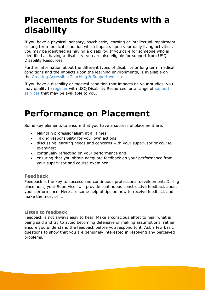## <span id="page-16-0"></span>**Placements for Students with a disability**

If you have a physical, sensory, psychiatric, learning or intellectual impairment, or long term medical condition which impacts upon your daily living activities, you may be identified as having a disability. If you care for someone who is identified as having a disability, you are also eligible for support from USQ Disability Resources.

Further information about the different types of disability or long term medical conditions and the impacts upon the learning environments, is available on the [Creating Accessible Teaching & Support website.](http://www.adcet.edu.au/inclusive-teaching/)

If you have a disability or medical condition that impacts on your studies, you may qualify to [register](https://www.usq.edu.au/current-students/services/disability/register) with USQ Disability Resources for a range of [support](https://www.usq.edu.au/current-students/services/disability/support-and-services)  [services](https://www.usq.edu.au/current-students/services/disability/support-and-services) that may be available to you.

## <span id="page-16-1"></span>**Performance on Placement**

Some key elements to ensure that you have a successful placement are:

- Maintain professionalism at all times;
- Taking responsibility for your own actions;
- discussing learning needs and concerns with your supervisor or course examiner;
- continually reflecting on your performance and;
- ensuring that you obtain adequate feedback on your performance from your supervisor and course examiner.

#### <span id="page-16-2"></span>**Feedback**

Feedback is the key to success and continuous professional development. During placement, your Supervisor will provide continuous constructive feedback about your performance. Here are some helpful tips on how to receive feedback and make the most of it:

#### <span id="page-16-3"></span>**Listen to feedback**

Feedback is not always easy to hear. Make a conscious effort to hear what is being said and try to avoid becoming defensive or making assumptions, rather ensure you understand the feedback before you respond to it. Ask a few basic questions to show that you are genuinely interested in resolving any perceived problems.